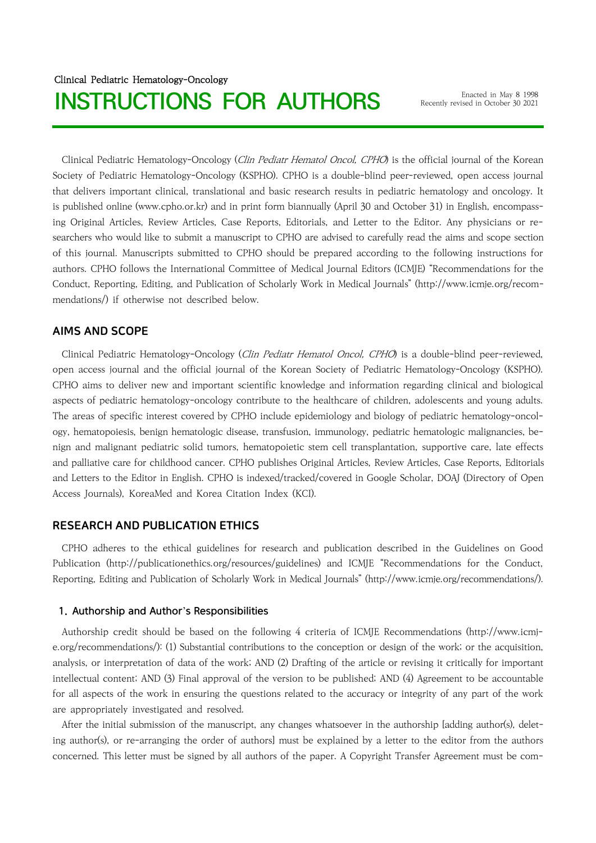Clinical Pediatric Hematology-Oncology (Clin Pediatr Hematol Oncol, CPHO) is the official journal of the Korean Society of Pediatric Hematology-Oncology (KSPHO). CPHO is a double-blind peer-reviewed, open access journal that delivers important clinical, translational and basic research results in pediatric hematology and oncology. It is published online (www.cpho.or.kr) and in print form biannually (April 30 and October 31) in English, encompassing Original Articles, Review Articles, Case Reports, Editorials, and Letter to the Editor. Any physicians or researchers who would like to submit a manuscript to CPHO are advised to carefully read the aims and scope section of this journal. Manuscripts submitted to CPHO should be prepared according to the following instructions for authors. CPHO follows the International Committee of Medical Journal Editors (ICMJE) "Recommendations for the Conduct, Reporting, Editing, and Publication of Scholarly Work in Medical Journals" (http://www.icmje.org/recommendations/) if otherwise not described below.

# AIMS AND SCOPE

Clinical Pediatric Hematology-Oncology (Clin Pediatr Hematol Oncol, CPHO) is a double-blind peer-reviewed, open access journal and the official journal of the Korean Society of Pediatric Hematology-Oncology (KSPHO). CPHO aims to deliver new and important scientific knowledge and information regarding clinical and biological aspects of pediatric hematology-oncology contribute to the healthcare of children, adolescents and young adults. The areas of specific interest covered by CPHO include epidemiology and biology of pediatric hematology-oncology, hematopoiesis, benign hematologic disease, transfusion, immunology, pediatric hematologic malignancies, benign and malignant pediatric solid tumors, hematopoietic stem cell transplantation, supportive care, late effects and palliative care for childhood cancer. CPHO publishes Original Articles, Review Articles, Case Reports, Editorials and Letters to the Editor in English. CPHO is indexed/tracked/covered in Google Scholar, DOAJ (Directory of Open Access Journals), KoreaMed and Korea Citation Index (KCI).

# RESEARCH AND PUBLICATION ETHICS

CPHO adheres to the ethical guidelines for research and publication described in the Guidelines on Good Publication (http://publicationethics.org/resources/guidelines) and ICMJE "Recommendations for the Conduct, Reporting, Editing and Publication of Scholarly Work in Medical Journals" (http://www.icmje.org/recommendations/).

# 1. Authorship and Author's Responsibilities

Authorship credit should be based on the following 4 criteria of ICMJE Recommendations (http://www.icmje.org/recommendations/): (1) Substantial contributions to the conception or design of the work; or the acquisition, analysis, or interpretation of data of the work; AND (2) Drafting of the article or revising it critically for important intellectual content; AND (3) Final approval of the version to be published; AND (4) Agreement to be accountable for all aspects of the work in ensuring the questions related to the accuracy or integrity of any part of the work are appropriately investigated and resolved.

After the initial submission of the manuscript, any changes whatsoever in the authorship [adding author(s), deleting author(s), or re-arranging the order of authors] must be explained by a letter to the editor from the authors concerned. This letter must be signed by all authors of the paper. A Copyright Transfer Agreement must be com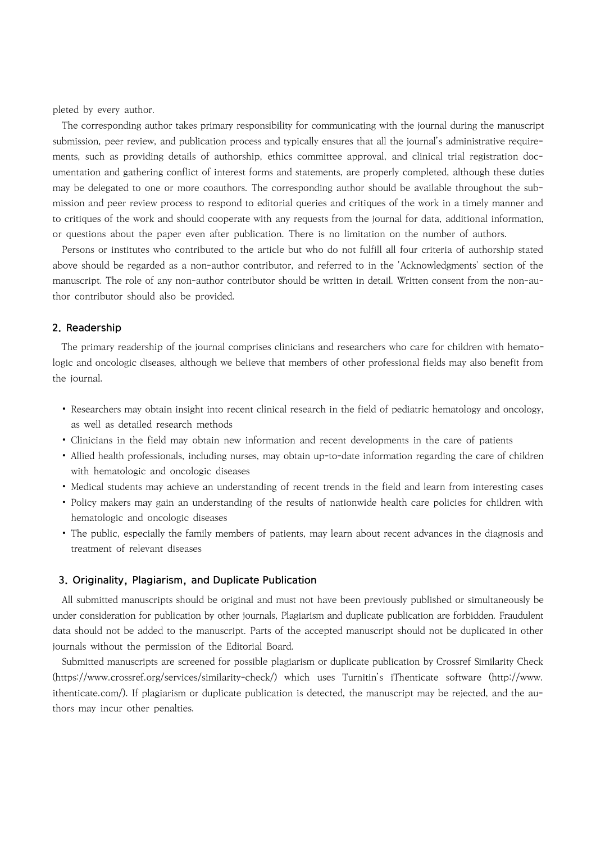pleted by every author.

The corresponding author takes primary responsibility for communicating with the journal during the manuscript submission, peer review, and publication process and typically ensures that all the journal's administrative requirements, such as providing details of authorship, ethics committee approval, and clinical trial registration documentation and gathering conflict of interest forms and statements, are properly completed, although these duties may be delegated to one or more coauthors. The corresponding author should be available throughout the submission and peer review process to respond to editorial queries and critiques of the work in a timely manner and to critiques of the work and should cooperate with any requests from the journal for data, additional information, or questions about the paper even after publication. There is no limitation on the number of authors.

Persons or institutes who contributed to the article but who do not fulfill all four criteria of authorship stated above should be regarded as a non-author contributor, and referred to in the 'Acknowledgments' section of the manuscript. The role of any non-author contributor should be written in detail. Written consent from the non-author contributor should also be provided.

## 2. Readership

 The primary readership of the journal comprises clinicians and researchers who care for children with hematologic and oncologic diseases, although we believe that members of other professional fields may also benefit from the journal.

- ∙ Researchers may obtain insight into recent clinical research in the field of pediatric hematology and oncology, as well as detailed research methods
- ∙ Clinicians in the field may obtain new information and recent developments in the care of patients
- ∙ Allied health professionals, including nurses, may obtain up-to-date information regarding the care of children with hematologic and oncologic diseases
- ∙ Medical students may achieve an understanding of recent trends in the field and learn from interesting cases
- ∙ Policy makers may gain an understanding of the results of nationwide health care policies for children with hematologic and oncologic diseases
- ∙ The public, especially the family members of patients, may learn about recent advances in the diagnosis and treatment of relevant diseases

#### 3. Originality, Plagiarism, and Duplicate Publication

All submitted manuscripts should be original and must not have been previously published or simultaneously be under consideration for publication by other journals, Plagiarism and duplicate publication are forbidden. Fraudulent data should not be added to the manuscript. Parts of the accepted manuscript should not be duplicated in other journals without the permission of the Editorial Board.

Submitted manuscripts are screened for possible plagiarism or duplicate publication by Crossref Similarity Check (https://www.crossref.org/services/similarity-check/) which uses Turnitin's iThenticate software (http://www. ithenticate.com/). If plagiarism or duplicate publication is detected, the manuscript may be rejected, and the authors may incur other penalties.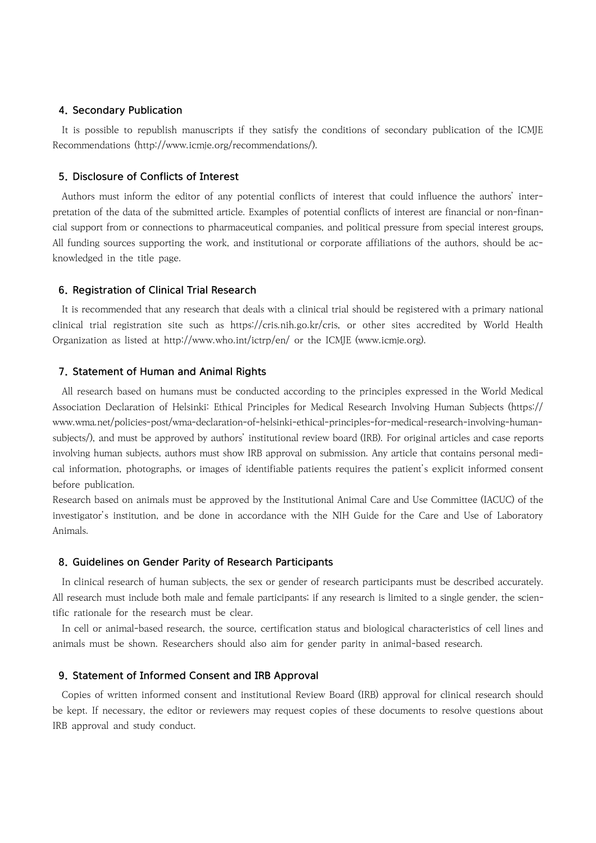# 4. Secondary Publication

It is possible to republish manuscripts if they satisfy the conditions of secondary publication of the ICMJE Recommendations (http://www.icmje.org/recommendations/).

# 5. Disclosure of Conflicts of Interest

Authors must inform the editor of any potential conflicts of interest that could influence the authors' interpretation of the data of the submitted article. Examples of potential conflicts of interest are financial or non-financial support from or connections to pharmaceutical companies, and political pressure from special interest groups, All funding sources supporting the work, and institutional or corporate affiliations of the authors, should be acknowledged in the title page.

# 6. Registration of Clinical Trial Research

It is recommended that any research that deals with a clinical trial should be registered with a primary national clinical trial registration site such as https://cris.nih.go.kr/cris, or other sites accredited by World Health Organization as listed at http://www.who.int/ictrp/en/ or the ICMJE (www.icmje.org).

# 7. Statement of Human and Animal Rights

All research based on humans must be conducted according to the principles expressed in the World Medical Association Declaration of Helsinki: Ethical Principles for Medical Research Involving Human Subjects (https:// www.wma.net/policies-post/wma-declaration-of-helsinki-ethical-principles-for-medical-research-involving-humansubjects/), and must be approved by authors' institutional review board (IRB). For original articles and case reports involving human subjects, authors must show IRB approval on submission. Any article that contains personal medical information, photographs, or images of identifiable patients requires the patient's explicit informed consent before publication.

Research based on animals must be approved by the Institutional Animal Care and Use Committee (IACUC) of the investigator's institution, and be done in accordance with the NIH Guide for the Care and Use of Laboratory Animals.

# 8. Guidelines on Gender Parity of Research Participants

In clinical research of human subjects, the sex or gender of research participants must be described accurately. All research must include both male and female participants; if any research is limited to a single gender, the scientific rationale for the research must be clear.

In cell or animal-based research, the source, certification status and biological characteristics of cell lines and animals must be shown. Researchers should also aim for gender parity in animal-based research.

# 9. Statement of Informed Consent and IRB Approval

Copies of written informed consent and institutional Review Board (IRB) approval for clinical research should be kept. If necessary, the editor or reviewers may request copies of these documents to resolve questions about IRB approval and study conduct.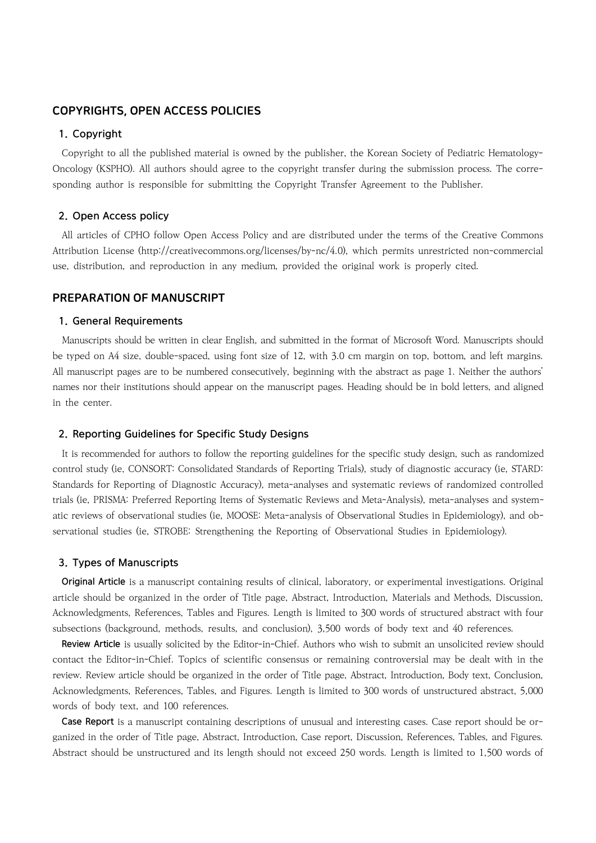# COPYRIGHTS, OPEN ACCESS POLICIES

# 1. Copyright

Copyright to all the published material is owned by the publisher, the Korean Society of Pediatric Hematology-Oncology (KSPHO). All authors should agree to the copyright transfer during the submission process. The corresponding author is responsible for submitting the Copyright Transfer Agreement to the Publisher.

## 2. Open Access policy

All articles of CPHO follow Open Access Policy and are distributed under the terms of the Creative Commons Attribution License (http://creativecommons.org/licenses/by-nc/4.0), which permits unrestricted non-commercial use, distribution, and reproduction in any medium, provided the original work is properly cited.

# PREPARATION OF MANUSCRIPT

#### 1. General Requirements

Manuscripts should be written in clear English, and submitted in the format of Microsoft Word. Manuscripts should be typed on A4 size, double-spaced, using font size of 12, with 3.0 cm margin on top, bottom, and left margins. All manuscript pages are to be numbered consecutively, beginning with the abstract as page 1. Neither the authors' names nor their institutions should appear on the manuscript pages. Heading should be in bold letters, and aligned in the center.

# 2. Reporting Guidelines for Specific Study Designs

It is recommended for authors to follow the reporting guidelines for the specific study design, such as randomized control study (ie, CONSORT: Consolidated Standards of Reporting Trials), study of diagnostic accuracy (ie, STARD: Standards for Reporting of Diagnostic Accuracy), meta-analyses and systematic reviews of randomized controlled trials (ie, PRISMA: Preferred Reporting Items of Systematic Reviews and Meta-Analysis), meta-analyses and systematic reviews of observational studies (ie, MOOSE: Meta-analysis of Observational Studies in Epidemiology), and observational studies (ie, STROBE: Strengthening the Reporting of Observational Studies in Epidemiology).

# 3. Types of Manuscripts

Original Article is a manuscript containing results of clinical, laboratory, or experimental investigations. Original article should be organized in the order of Title page, Abstract, Introduction, Materials and Methods, Discussion, Acknowledgments, References, Tables and Figures. Length is limited to 300 words of structured abstract with four subsections (background, methods, results, and conclusion), 3,500 words of body text and 40 references.

Review Article is usually solicited by the Editor-in-Chief. Authors who wish to submit an unsolicited review should contact the Editor-in-Chief. Topics of scientific consensus or remaining controversial may be dealt with in the review. Review article should be organized in the order of Title page, Abstract, Introduction, Body text, Conclusion, Acknowledgments, References, Tables, and Figures. Length is limited to 300 words of unstructured abstract, 5,000 words of body text, and 100 references.

Case Report is a manuscript containing descriptions of unusual and interesting cases. Case report should be organized in the order of Title page, Abstract, Introduction, Case report, Discussion, References, Tables, and Figures. Abstract should be unstructured and its length should not exceed 250 words. Length is limited to 1,500 words of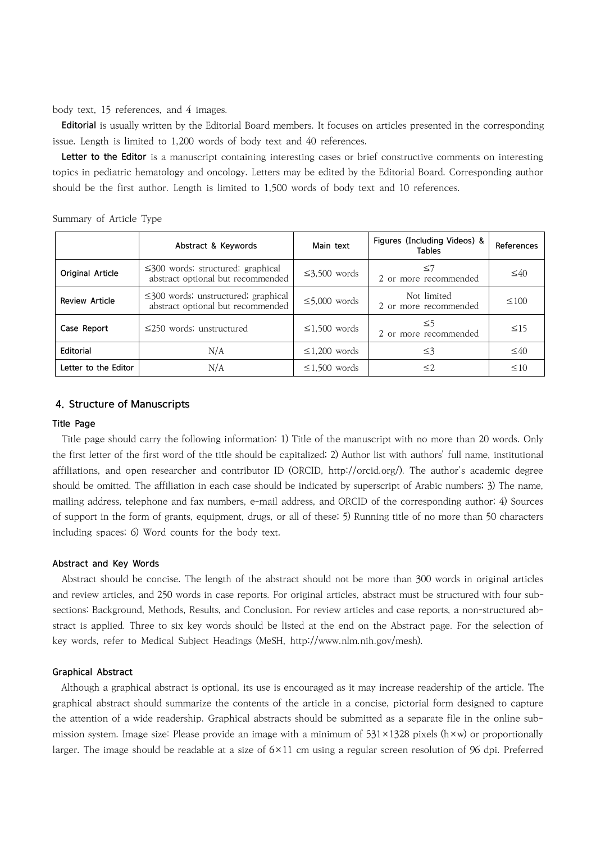body text, 15 references, and 4 images.

Editorial is usually written by the Editorial Board members. It focuses on articles presented in the corresponding issue. Length is limited to 1,200 words of body text and 40 references.

Letter to the Editor is a manuscript containing interesting cases or brief constructive comments on interesting topics in pediatric hematology and oncology. Letters may be edited by the Editorial Board. Corresponding author should be the first author. Length is limited to 1,500 words of body text and 10 references.

#### Summary of Article Type

|                       | Abstract & Keywords                                                            | Main text          | Figures (Including Videos) &<br><b>Tables</b> | References |
|-----------------------|--------------------------------------------------------------------------------|--------------------|-----------------------------------------------|------------|
| Original Article      | $\leq$ 300 words; structured; graphical<br>abstract optional but recommended   | $\leq$ 3,500 words | ≤7<br>2 or more recommended                   | $\leq 40$  |
| <b>Review Article</b> | $\leq$ 300 words; unstructured; graphical<br>abstract optional but recommended | $\leq 5,000$ words | Not limited<br>2 or more recommended          | $\leq 100$ |
| Case Report           | $\leq$ 250 words; unstructured                                                 | $\leq 1,500$ words | ≤5<br>2 or more recommended                   | $\leq$ 15  |
| Editorial             | N/A                                                                            | $\leq$ 1,200 words | $\leq$ 3                                      | $\leq 40$  |
| Letter to the Editor  | N/A                                                                            | $\leq 1,500$ words | ≤2                                            | $\leq 10$  |

#### 4. Structure of Manuscripts

## Title Page

Title page should carry the following information: 1) Title of the manuscript with no more than 20 words. Only the first letter of the first word of the title should be capitalized; 2) Author list with authors' full name, institutional affiliations, and open researcher and contributor ID (ORCID, http://orcid.org/). The author's academic degree should be omitted. The affiliation in each case should be indicated by superscript of Arabic numbers; 3) The name, mailing address, telephone and fax numbers, e-mail address, and ORCID of the corresponding author; 4) Sources of support in the form of grants, equipment, drugs, or all of these; 5) Running title of no more than 50 characters including spaces; 6) Word counts for the body text.

#### Abstract and Key Words

Abstract should be concise. The length of the abstract should not be more than 300 words in original articles and review articles, and 250 words in case reports. For original articles, abstract must be structured with four subsections: Background, Methods, Results, and Conclusion. For review articles and case reports, a non-structured abstract is applied. Three to six key words should be listed at the end on the Abstract page. For the selection of key words, refer to Medical Subject Headings (MeSH, http://www.nlm.nih.gov/mesh).

#### Graphical Abstract

 Although a graphical abstract is optional, its use is encouraged as it may increase readership of the article. The graphical abstract should summarize the contents of the article in a concise, pictorial form designed to capture the attention of a wide readership. Graphical abstracts should be submitted as a separate file in the online submission system. Image size: Please provide an image with a minimum of  $531 \times 1328$  pixels (h  $\times$ w) or proportionally larger. The image should be readable at a size of 6×11 cm using a regular screen resolution of 96 dpi. Preferred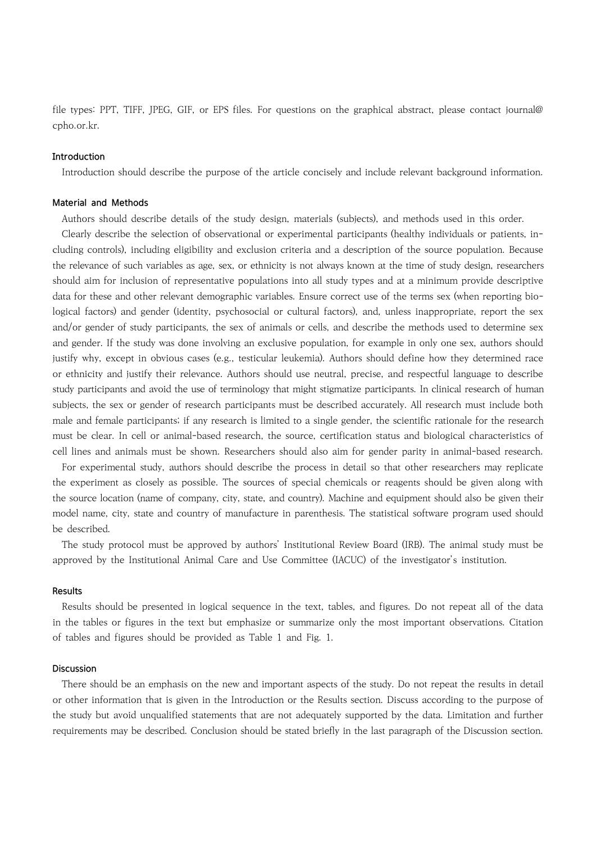file types: PPT, TIFF, JPEG, GIF, or EPS files. For questions on the graphical abstract, please contact journal@ cpho.or.kr.

#### Introduction

Introduction should describe the purpose of the article concisely and include relevant background information.

# Material and Methods

Authors should describe details of the study design, materials (subjects), and methods used in this order.

Clearly describe the selection of observational or experimental participants (healthy individuals or patients, including controls), including eligibility and exclusion criteria and a description of the source population. Because the relevance of such variables as age, sex, or ethnicity is not always known at the time of study design, researchers should aim for inclusion of representative populations into all study types and at a minimum provide descriptive data for these and other relevant demographic variables. Ensure correct use of the terms sex (when reporting biological factors) and gender (identity, psychosocial or cultural factors), and, unless inappropriate, report the sex and/or gender of study participants, the sex of animals or cells, and describe the methods used to determine sex and gender. If the study was done involving an exclusive population, for example in only one sex, authors should justify why, except in obvious cases (e.g., testicular leukemia). Authors should define how they determined race or ethnicity and justify their relevance. Authors should use neutral, precise, and respectful language to describe study participants and avoid the use of terminology that might stigmatize participants. In clinical research of human subjects, the sex or gender of research participants must be described accurately. All research must include both male and female participants; if any research is limited to a single gender, the scientific rationale for the research must be clear. In cell or animal-based research, the source, certification status and biological characteristics of cell lines and animals must be shown. Researchers should also aim for gender parity in animal-based research.

For experimental study, authors should describe the process in detail so that other researchers may replicate the experiment as closely as possible. The sources of special chemicals or reagents should be given along with the source location (name of company, city, state, and country). Machine and equipment should also be given their model name, city, state and country of manufacture in parenthesis. The statistical software program used should be described.

The study protocol must be approved by authors' Institutional Review Board (IRB). The animal study must be approved by the Institutional Animal Care and Use Committee (IACUC) of the investigator's institution.

#### Results

Results should be presented in logical sequence in the text, tables, and figures. Do not repeat all of the data in the tables or figures in the text but emphasize or summarize only the most important observations. Citation of tables and figures should be provided as Table 1 and Fig. 1.

#### Discussion

There should be an emphasis on the new and important aspects of the study. Do not repeat the results in detail or other information that is given in the Introduction or the Results section. Discuss according to the purpose of the study but avoid unqualified statements that are not adequately supported by the data. Limitation and further requirements may be described. Conclusion should be stated briefly in the last paragraph of the Discussion section.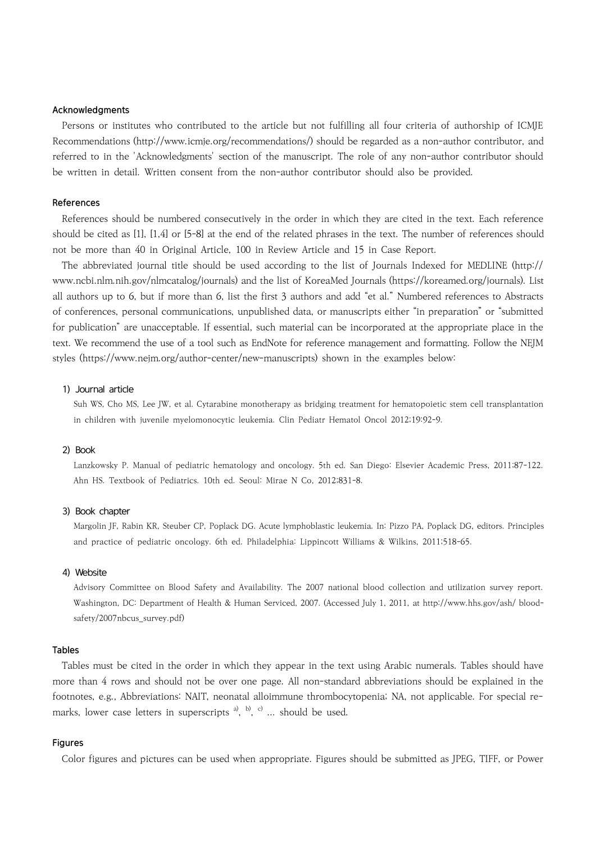# Acknowledgments

Persons or institutes who contributed to the article but not fulfilling all four criteria of authorship of ICMJE Recommendations (http://www.icmje.org/recommendations/) should be regarded as a non-author contributor, and referred to in the 'Acknowledgments' section of the manuscript. The role of any non-author contributor should be written in detail. Written consent from the non-author contributor should also be provided.

# References

References should be numbered consecutively in the order in which they are cited in the text. Each reference should be cited as [1], [1,4] or [5-8] at the end of the related phrases in the text. The number of references should not be more than 40 in Original Article, 100 in Review Article and 15 in Case Report.

The abbreviated journal title should be used according to the list of Journals Indexed for MEDLINE (http:// www.ncbi.nlm.nih.gov/nlmcatalog/journals) and the list of KoreaMed Journals (https://koreamed.org/journals). List all authors up to 6, but if more than 6, list the first 3 authors and add "et al." Numbered references to Abstracts of conferences, personal communications, unpublished data, or manuscripts either "in preparation" or "submitted for publication" are unacceptable. If essential, such material can be incorporated at the appropriate place in the text. We recommend the use of a tool such as EndNote for reference management and formatting. Follow the NEJM styles (https://www.nejm.org/author-center/new-manuscripts) shown in the examples below:

#### 1) Journal article

Suh WS, Cho MS, Lee JW, et al. Cytarabine monotherapy as bridging treatment for hematopoietic stem cell transplantation in children with juvenile myelomonocytic leukemia. Clin Pediatr Hematol Oncol 2012;19:92-9.

#### 2) Book

Lanzkowsky P. Manual of pediatric hematology and oncology. 5th ed. San Diego: Elsevier Academic Press, 2011;87-122. Ahn HS. Textbook of Pediatrics. 10th ed. Seoul: Mirae N Co, 2012;831-8.

#### 3) Book chapter

Margolin JF, Rabin KR, Steuber CP, Poplack DG. Acute lymphoblastic leukemia. In: Pizzo PA, Poplack DG, editors. Principles and practice of pediatric oncology. 6th ed. Philadelphia: Lippincott Williams & Wilkins, 2011;518-65.

#### 4) Website

Advisory Committee on Blood Safety and Availability. The 2007 national blood collection and utilization survey report. Washington, DC: Department of Health & Human Serviced, 2007. (Accessed July 1, 2011, at http://www.hhs.gov/ash/ bloodsafety/2007nbcus\_survey.pdf)

#### Tables

Tables must be cited in the order in which they appear in the text using Arabic numerals. Tables should have more than 4 rows and should not be over one page. All non-standard abbreviations should be explained in the footnotes, e.g., Abbreviations: NAIT, neonatal alloimmune thrombocytopenia; NA, not applicable. For special remarks, lower case letters in superscripts  $a$ ,  $b$ ,  $c$ ) ... should be used.

#### Figures

Color figures and pictures can be used when appropriate. Figures should be submitted as JPEG, TIFF, or Power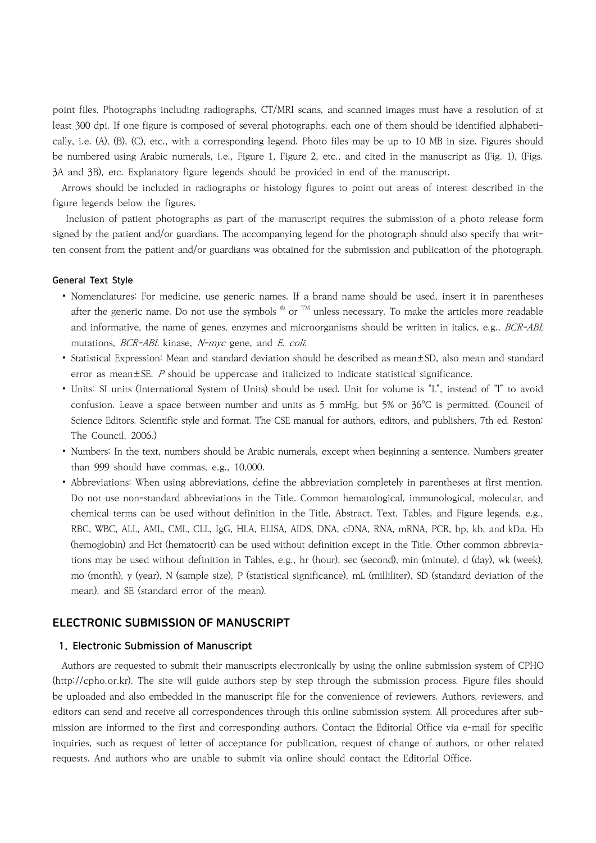point files. Photographs including radiographs, CT/MRI scans, and scanned images must have a resolution of at least 300 dpi. If one figure is composed of several photographs, each one of them should be identified alphabetically, i.e. (A), (B), (C), etc., with a corresponding legend. Photo files may be up to 10 MB in size. Figures should be numbered using Arabic numerals, i.e., Figure 1, Figure 2, etc., and cited in the manuscript as (Fig. 1), (Figs. 3A and 3B), etc. Explanatory figure legends should be provided in end of the manuscript.

Arrows should be included in radiographs or histology figures to point out areas of interest described in the figure legends below the figures.

 Inclusion of patient photographs as part of the manuscript requires the submission of a photo release form signed by the patient and/or guardians. The accompanying legend for the photograph should also specify that written consent from the patient and/or guardians was obtained for the submission and publication of the photograph.

#### General Text Style

- ∙ Nomenclatures: For medicine, use generic names. If a brand name should be used, insert it in parentheses after the generic name. Do not use the symbols  $^{\circledR}$  or  $^{\text{TM}}$  unless necessary. To make the articles more readable and informative, the name of genes, enzymes and microorganisms should be written in italics, e.g., BCR-ABL mutations, BCR-ABL kinase, N-myc gene, and E. coli.
- ∙ Statistical Expression: Mean and standard deviation should be described as mean±SD, also mean and standard error as mean±SE. P should be uppercase and italicized to indicate statistical significance.
- ∙ Units: SI units (International System of Units) should be used. Unit for volume is "L", instead of "l" to avoid confusion. Leave a space between number and units as 5 mmHg, but 5% or 36°C is permitted. (Council of Science Editors. Scientific style and format. The CSE manual for authors, editors, and publishers, 7th ed. Reston: The Council, 2006.)
- ∙ Numbers: In the text, numbers should be Arabic numerals, except when beginning a sentence. Numbers greater than 999 should have commas, e.g., 10,000.
- ∙ Abbreviations: When using abbreviations, define the abbreviation completely in parentheses at first mention. Do not use non-standard abbreviations in the Title. Common hematological, immunological, molecular, and chemical terms can be used without definition in the Title, Abstract, Text, Tables, and Figure legends, e.g., RBC, WBC, ALL, AML, CML, CLL, IgG, HLA, ELISA, AIDS, DNA, cDNA, RNA, mRNA, PCR, bp, kb, and kDa. Hb (hemoglobin) and Hct (hematocrit) can be used without definition except in the Title. Other common abbreviations may be used without definition in Tables, e.g., hr (hour), sec (second), min (minute), d (day), wk (week), mo (month), y (year), N (sample size), P (statistical significance), mL (milliliter), SD (standard deviation of the mean), and SE (standard error of the mean).

# ELECTRONIC SUBMISSION OF MANUSCRIPT

#### 1. Electronic Submission of Manuscript

Authors are requested to submit their manuscripts electronically by using the online submission system of CPHO (http://cpho.or.kr). The site will guide authors step by step through the submission process. Figure files should be uploaded and also embedded in the manuscript file for the convenience of reviewers. Authors, reviewers, and editors can send and receive all correspondences through this online submission system. All procedures after submission are informed to the first and corresponding authors. Contact the Editorial Office via e-mail for specific inquiries, such as request of letter of acceptance for publication, request of change of authors, or other related requests. And authors who are unable to submit via online should contact the Editorial Office.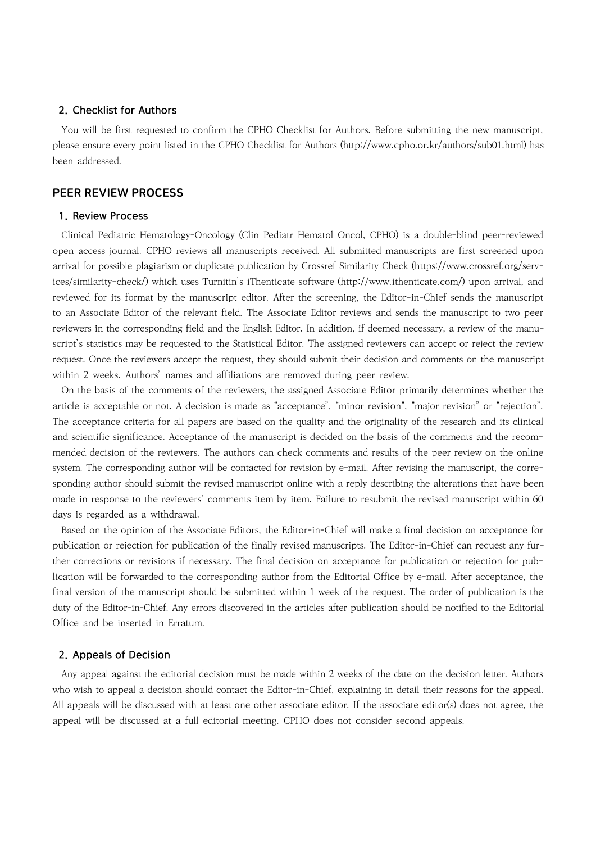# 2. Checklist for Authors

 You will be first requested to confirm the CPHO Checklist for Authors. Before submitting the new manuscript, please ensure every point listed in the CPHO Checklist for Authors (http://www.cpho.or.kr/authors/sub01.html) has been addressed.

# PEER REVIEW PROCESS

# 1. Review Process

 Clinical Pediatric Hematology-Oncology (Clin Pediatr Hematol Oncol, CPHO) is a double-blind peer-reviewed open access journal. CPHO reviews all manuscripts received. All submitted manuscripts are first screened upon arrival for possible plagiarism or duplicate publication by Crossref Similarity Check (https://www.crossref.org/services/similarity-check/) which uses Turnitin's iThenticate software (http://www.ithenticate.com/) upon arrival, and reviewed for its format by the manuscript editor. After the screening, the Editor-in-Chief sends the manuscript to an Associate Editor of the relevant field. The Associate Editor reviews and sends the manuscript to two peer reviewers in the corresponding field and the English Editor. In addition, if deemed necessary, a review of the manuscript's statistics may be requested to the Statistical Editor. The assigned reviewers can accept or reject the review request. Once the reviewers accept the request, they should submit their decision and comments on the manuscript within 2 weeks. Authors' names and affiliations are removed during peer review.

 On the basis of the comments of the reviewers, the assigned Associate Editor primarily determines whether the article is acceptable or not. A decision is made as "acceptance", "minor revision", "major revision" or "rejection". The acceptance criteria for all papers are based on the quality and the originality of the research and its clinical and scientific significance. Acceptance of the manuscript is decided on the basis of the comments and the recommended decision of the reviewers. The authors can check comments and results of the peer review on the online system. The corresponding author will be contacted for revision by e-mail. After revising the manuscript, the corresponding author should submit the revised manuscript online with a reply describing the alterations that have been made in response to the reviewers' comments item by item. Failure to resubmit the revised manuscript within 60 days is regarded as a withdrawal.

 Based on the opinion of the Associate Editors, the Editor-in-Chief will make a final decision on acceptance for publication or rejection for publication of the finally revised manuscripts. The Editor-in-Chief can request any further corrections or revisions if necessary. The final decision on acceptance for publication or rejection for publication will be forwarded to the corresponding author from the Editorial Office by e-mail. After acceptance, the final version of the manuscript should be submitted within 1 week of the request. The order of publication is the duty of the Editor-in-Chief. Any errors discovered in the articles after publication should be notified to the Editorial Office and be inserted in Erratum.

#### 2. Appeals of Decision

 Any appeal against the editorial decision must be made within 2 weeks of the date on the decision letter. Authors who wish to appeal a decision should contact the Editor-in-Chief, explaining in detail their reasons for the appeal. All appeals will be discussed with at least one other associate editor. If the associate editor(s) does not agree, the appeal will be discussed at a full editorial meeting. CPHO does not consider second appeals.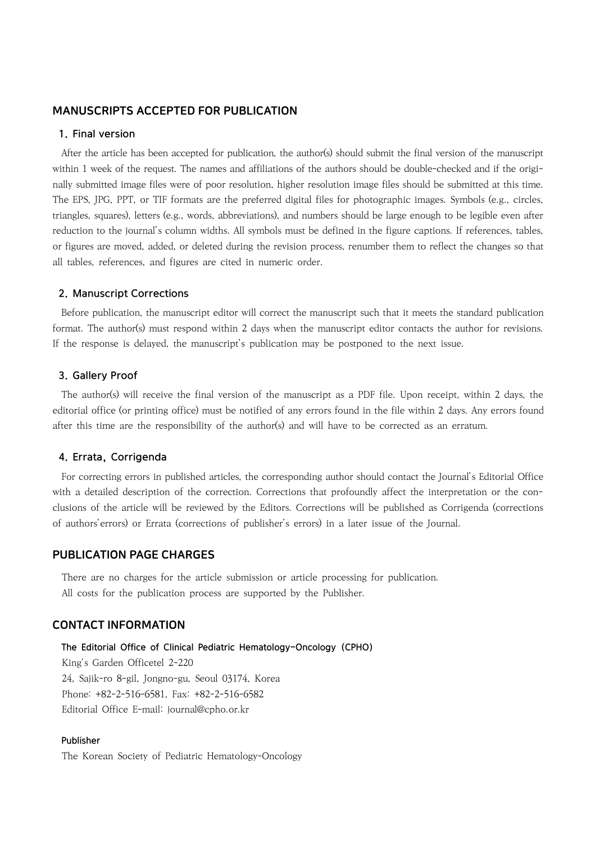# MANUSCRIPTS ACCEPTED FOR PUBLICATION

## 1. Final version

 After the article has been accepted for publication, the author(s) should submit the final version of the manuscript within 1 week of the request. The names and affiliations of the authors should be double-checked and if the originally submitted image files were of poor resolution, higher resolution image files should be submitted at this time. The EPS, JPG, PPT, or TIF formats are the preferred digital files for photographic images. Symbols (e.g., circles, triangles, squares), letters (e.g., words, abbreviations), and numbers should be large enough to be legible even after reduction to the journal's column widths. All symbols must be defined in the figure captions. If references, tables, or figures are moved, added, or deleted during the revision process, renumber them to reflect the changes so that all tables, references, and figures are cited in numeric order.

#### 2. Manuscript Corrections

 Before publication, the manuscript editor will correct the manuscript such that it meets the standard publication format. The author(s) must respond within 2 days when the manuscript editor contacts the author for revisions. If the response is delayed, the manuscript's publication may be postponed to the next issue.

#### 3. Gallery Proof

The author(s) will receive the final version of the manuscript as a PDF file. Upon receipt, within 2 days, the editorial office (or printing office) must be notified of any errors found in the file within 2 days. Any errors found after this time are the responsibility of the author(s) and will have to be corrected as an erratum.

#### 4. Errata, Corrigenda

 For correcting errors in published articles, the corresponding author should contact the Journal's Editorial Office with a detailed description of the correction. Corrections that profoundly affect the interpretation or the conclusions of the article will be reviewed by the Editors. Corrections will be published as Corrigenda (corrections of authors'errors) or Errata (corrections of publisher's errors) in a later issue of the Journal.

# PUBLICATION PAGE CHARGES

There are no charges for the article submission or article processing for publication. All costs for the publication process are supported by the Publisher.

# CONTACT INFORMATION

The Editorial Office of Clinical Pediatric Hematology-Oncology (CPHO) King's Garden Officetel 2-220 24, Sajik-ro 8-gil, Jongno-gu, Seoul 03174, Korea Phone: +82-2-516-6581, Fax: +82-2-516-6582 Editorial Office E-mail: journal@cpho.or.kr

#### Publisher

The Korean Society of Pediatric Hematology-Oncology